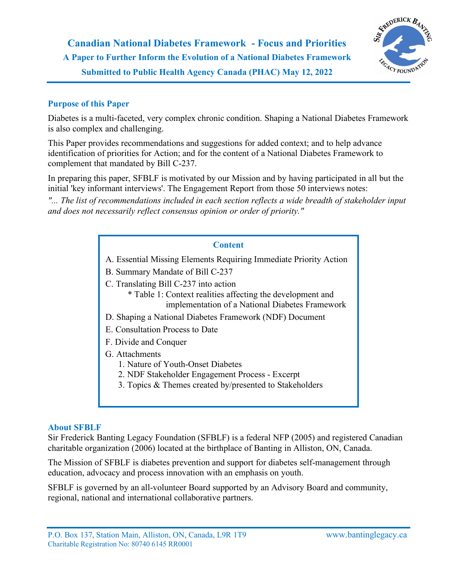

## **Purpose of this Paper**

Diabetes is a multi-faceted, very complex chronic condition. Shaping a National Diabetes Framework is also complex and challenging.

This Paper provides recommendations and suggestions for added context; and to help advance identification of priorities for Action; and for the content of a National Diabetes Framework to complement that mandated by Bill C-237.

In preparing this paper, SFBLF is motivated by our Mission and by having participated in all but the initial 'key informant interviews'. The Engagement Report from those 50 interviews notes:

*"... The list of recommendations included in each section reflects a wide breadth of stakeholder input and does not necessarily reflect consensus opinion or order of priority."*

#### **Content**

- A. Essential Missing Elements Requiring Immediate Priority Action
- B. Summary Mandate of Bill C-237
- C. Translating Bill C-237 into action
	- \* Table 1: Context realities affecting the development and implementation of a National Diabetes Framework
- D. Shaping a National Diabetes Framework (NDF) Document
- E. Consultation Process to Date
- F. Divide and Conquer
- G. Attachments
	- 1. Nature of Youth-Onset Diabetes
	- 2. NDF Stakeholder Engagement Process Excerpt
	- 3. Topics & Themes created by/presented to Stakeholders

#### **About SFBLF**

Sir Frederick Banting Legacy Foundation (SFBLF) is a federal NFP (2005) and registered Canadian charitable organization (2006) located at the birthplace of Banting in Alliston, ON, Canada.

The Mission of SFBLF is diabetes prevention and support for diabetes self-management through education, advocacy and process innovation with an emphasis on youth.

SFBLF is governed by an all-volunteer Board supported by an Advisory Board and community, regional, national and international collaborative partners.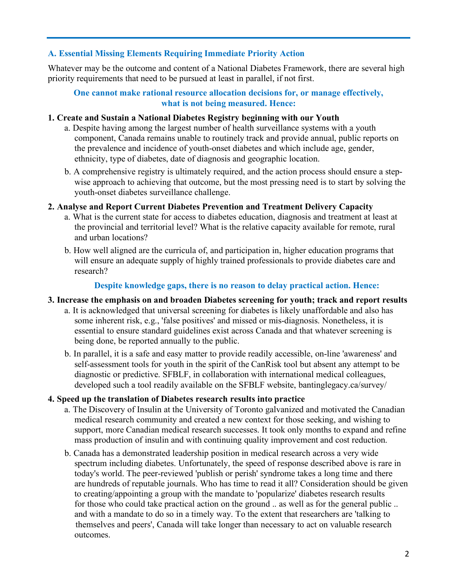### **A. Essential Missing Elements Requiring Immediate Priority Action**

Whatever may be the outcome and content of a National Diabetes Framework, there are several high priority requirements that need to be pursued at least in parallel, if not first.

### **One cannot make rational resource allocation decisions for, or manage effectively, what is not being measured. Hence:**

### **1. Create and Sustain a National Diabetes Registry beginning with our Youth**

- a. Despite having among the largest number of health surveillance systems with a youth component, Canada remains unable to routinely track and provide annual, public reports on the prevalence and incidence of youth-onset diabetes and which include age, gender, ethnicity, type of diabetes, date of diagnosis and geographic location.
- b. A comprehensive registry is ultimately required, and the action process should ensure a stepwise approach to achieving that outcome, but the most pressing need is to start by solving the youth-onset diabetes surveillance challenge.

#### **2. Analyse and Report Current Diabetes Prevention and Treatment Delivery Capacity**

- a. What is the current state for access to diabetes education, diagnosis and treatment at least at the provincial and territorial level? What is the relative capacity available for remote, rural and urban locations?
- b. How well aligned are the curricula of, and participation in, higher education programs that will ensure an adequate supply of highly trained professionals to provide diabetes care and research?

#### **Despite knowledge gaps, there is no reason to delay practical action. Hence:**

#### **3. Increase the emphasis on and broaden Diabetes screening for youth; track and report results**

- a. It is acknowledged that universal screening for diabetes is likely unaffordable and also has some inherent risk, e.g., 'false positives' and missed or mis-diagnosis. Nonetheless, it is essential to ensure standard guidelines exist across Canada and that whatever screening is being done, be reported annually to the public.
- b. In parallel, it is a safe and easy matter to provide readily accessible, on-line 'awareness' and self-assessment tools for youth in the spirit of the CanRisk tool but absent any attempt to be diagnostic or predictive. SFBLF, in collaboration with international medical colleagues, developed such a tool readily available on the SFBLF website, bantinglegacy.ca/survey/

### **4. Speed up the translation of Diabetes research results into practice**

- a. The Discovery of Insulin at the University of Toronto galvanized and motivated the Canadian medical research community and created a new context for those seeking, and wishing to support, more Canadian medical research successes. It took only months to expand and refine mass production of insulin and with continuing quality improvement and cost reduction.
- b. Canada has a demonstrated leadership position in medical research across a very wide spectrum including diabetes. Unfortunately, the speed of response described above is rare in today's world. The peer-reviewed 'publish or perish' syndrome takes a long time and there are hundreds of reputable journals. Who has time to read it all? Consideration should be given to creating/appointing a group with the mandate to 'popularize' diabetes research results for those who could take practical action on the ground .. as well as for the general public .. and with a mandate to do so in a timely way. To the extent that researchers are 'talking to themselves and peers', Canada will take longer than necessary to act on valuable research outcomes.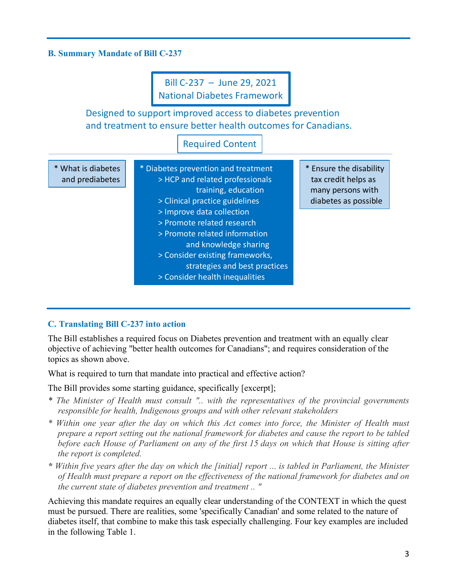### **B. Summary Mandate of Bill C-237**



#### **C. Translating Bill C-237 into action**

The Bill establishes a required focus on Diabetes prevention and treatment with an equally clear objective of achieving "better health outcomes for Canadians"; and requires consideration of the topics as shown above.

What is required to turn that mandate into practical and effective action?

The Bill provides some starting guidance, specifically [excerpt];

- *\* The Minister of Health must consult ".. with the representatives of the provincial governments responsible for health, Indigenous groups and with other relevant stakeholders*
- *\* Within one year after the day on which this Act comes into force, the Minister of Health must prepare a report setting out the national framework for diabetes and cause the report to be tabled before each House of Parliament on any of the first 15 days on which that House is sitting after the report is completed.*
- *\* Within five years after the day on which the [initial] report ... is tabled in Parliament, the Minister of Health must prepare a report on the effectiveness of the national framework for diabetes and on the current state of diabetes prevention and treatment .. "*

Achieving this mandate requires an equally clear understanding of the CONTEXT in which the quest must be pursued. There are realities, some 'specifically Canadian' and some related to the nature of diabetes itself, that combine to make this task especially challenging. Four key examples are included in the following Table 1.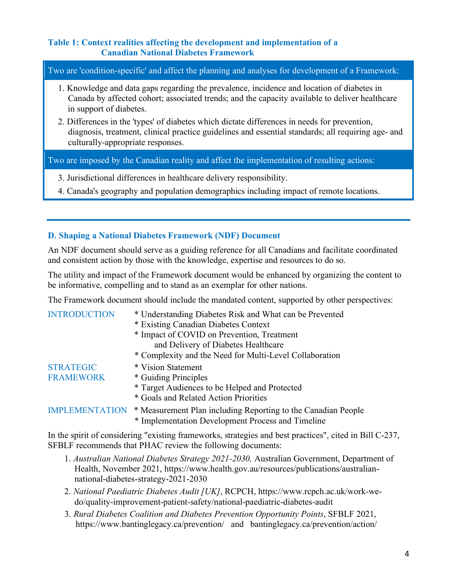### **Table 1: Context realities affecting the development and implementation of a Canadian National Diabetes Framework**

Two are 'condition-specific' and affect the planning and analyses for development of a Framework:

- 1. Knowledge and data gaps regarding the prevalence, incidence and location of diabetes in Canada by affected cohort; associated trends; and the capacity available to deliver healthcare in support of diabetes.
- 2. Differences in the 'types' of diabetes which dictate differences in needs for prevention, diagnosis, treatment, clinical practice guidelines and essential standards; all requiring age- and culturally-appropriate responses.

Two are imposed by the Canadian reality and affect the implementation of resulting actions:

- 3. Jurisdictional differences in healthcare delivery responsibility.
- 4. Canada's geography and population demographics including impact of remote locations.

# **D. Shaping a National Diabetes Framework (NDF) Document**

An NDF document should serve as a guiding reference for all Canadians and facilitate coordinated and consistent action by those with the knowledge, expertise and resources to do so.

The utility and impact of the Framework document would be enhanced by organizing the content to be informative, compelling and to stand as an exemplar for other nations.

The Framework document should include the mandated content, supported by other perspectives:

| <b>INTRODUCTION</b>   | * Understanding Diabetes Risk and What can be Prevented<br>* Existing Canadian Diabetes Context |
|-----------------------|-------------------------------------------------------------------------------------------------|
|                       | * Impact of COVID on Prevention, Treatment                                                      |
|                       | and Delivery of Diabetes Healthcare                                                             |
|                       | * Complexity and the Need for Multi-Level Collaboration                                         |
| <b>STRATEGIC</b>      | * Vision Statement                                                                              |
| <b>FRAMEWORK</b>      | * Guiding Principles                                                                            |
|                       | * Target Audiences to be Helped and Protected                                                   |
|                       | * Goals and Related Action Priorities                                                           |
| <b>IMPLEMENTATION</b> | * Measurement Plan including Reporting to the Canadian People                                   |
|                       | * Implementation Development Process and Timeline                                               |

In the spirit of considering "existing frameworks, strategies and best practices", cited in Bill C-237, SFBLF recommends that PHAC review the following documents:

- 1. *Australian National Diabetes Strategy 2021-2030,* Australian Government, Department of Health, November 2021, https://www.health.gov.au/resources/publications/australiannational-diabetes-strategy-2021-2030
- 2. *National Paediatric Diabetes Audit [UK]*, RCPCH, https://www.rcpch.ac.uk/work-wedo/quality-improvement-patient-safety/national-paediatric-diabetes-audit
- 3. *Rural Diabetes Coalition and Diabetes Prevention Opportunity Points*, SFBLF 2021, https://www.bantinglegacy.ca/prevention/ and bantinglegacy.ca/prevention/action/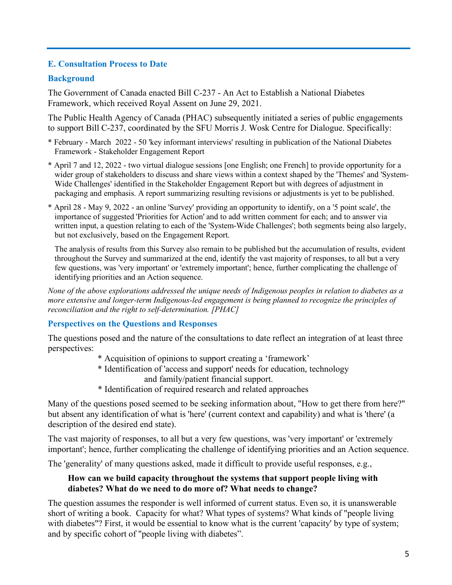## **E. Consultation Process to Date**

## **Background**

The Government of Canada enacted Bill C-237 - An Act to Establish a National Diabetes Framework, which received Royal Assent on June 29, 2021.

The Public Health Agency of Canada (PHAC) subsequently initiated a series of public engagements to support Bill C-237, coordinated by the SFU Morris J. Wosk Centre for Dialogue. Specifically:

- \* February March 2022 50 'key informant interviews' resulting in publication of the National Diabetes Framework - Stakeholder Engagement Report
- \* April 7 and 12, 2022 two virtual dialogue sessions [one English; one French] to provide opportunity for a wider group of stakeholders to discuss and share views within a context shaped by the 'Themes' and 'System-Wide Challenges' identified in the Stakeholder Engagement Report but with degrees of adjustment in packaging and emphasis. A report summarizing resulting revisions or adjustments is yet to be published.
- \* April 28 May 9, 2022 an online 'Survey' providing an opportunity to identify, on a '5 point scale', the importance of suggested 'Priorities for Action' and to add written comment for each; and to answer via written input, a question relating to each of the 'System-Wide Challenges'; both segments being also largely, but not exclusively, based on the Engagement Report.

The analysis of results from this Survey also remain to be published but the accumulation of results, evident throughout the Survey and summarized at the end, identify the vast majority of responses, to all but a very few questions, was 'very important' or 'extremely important'; hence, further complicating the challenge of identifying priorities and an Action sequence.

*None of the above explorations addressed the unique needs of Indigenous peoples in relation to diabetes as a more extensive and longer-term Indigenous-led engagement is being planned to recognize the principles of reconciliation and the right to self-determination. [PHAC]*

### **Perspectives on the Questions and Responses**

The questions posed and the nature of the consultations to date reflect an integration of at least three perspectives:

- \* Acquisition of opinions to support creating a 'framework'
- \* Identification of 'access and support' needs for education, technology and family/patient financial support.
- \* Identification of required research and related approaches

Many of the questions posed seemed to be seeking information about, "How to get there from here?" but absent any identification of what is 'here' (current context and capability) and what is 'there' (a description of the desired end state).

The vast majority of responses, to all but a very few questions, was 'very important' or 'extremely important'; hence, further complicating the challenge of identifying priorities and an Action sequence.

The 'generality' of many questions asked, made it difficult to provide useful responses, e.g.,

### **How can we build capacity throughout the systems that support people living with diabetes? What do we need to do more of? What needs to change?**

The question assumes the responder is well informed of current status. Even so, it is unanswerable short of writing a book. Capacity for what? What types of systems? What kinds of "people living with diabetes"? First, it would be essential to know what is the current 'capacity' by type of system; and by specific cohort of "people living with diabetes".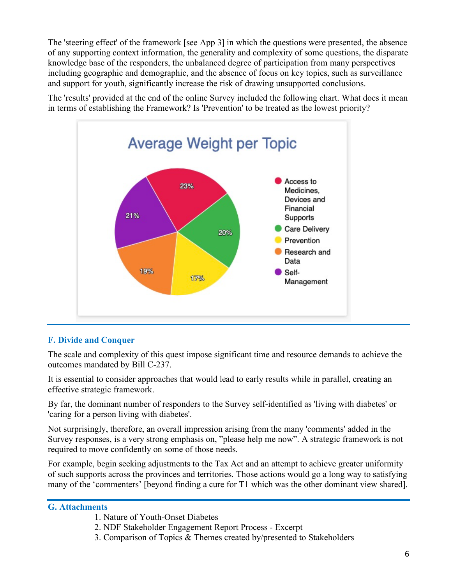The 'steering effect' of the framework [see App 3] in which the questions were presented, the absence of any supporting context information, the generality and complexity of some questions, the disparate knowledge base of the responders, the unbalanced degree of participation from many perspectives including geographic and demographic, and the absence of focus on key topics, such as surveillance and support for youth, significantly increase the risk of drawing unsupported conclusions.

The 'results' provided at the end of the online Survey included the following chart. What does it mean in terms of establishing the Framework? Is 'Prevention' to be treated as the lowest priority?



# **F. Divide and Conquer**

The scale and complexity of this quest impose significant time and resource demands to achieve the outcomes mandated by Bill C-237.

It is essential to consider approaches that would lead to early results while in parallel, creating an effective strategic framework.

By far, the dominant number of responders to the Survey self-identified as 'living with diabetes' or 'caring for a person living with diabetes'.

Not surprisingly, therefore, an overall impression arising from the many 'comments' added in the Survey responses, is a very strong emphasis on, "please help me now". A strategic framework is not required to move confidently on some of those needs.

For example, begin seeking adjustments to the Tax Act and an attempt to achieve greater uniformity of such supports across the provinces and territories. Those actions would go a long way to satisfying many of the 'commenters' [beyond finding a cure for T1 which was the other dominant view shared].

# **G. Attachments**

- 1. Nature of Youth-Onset Diabetes
- 2. NDF Stakeholder Engagement Report Process Excerpt
- 3. Comparison of Topics & Themes created by/presented to Stakeholders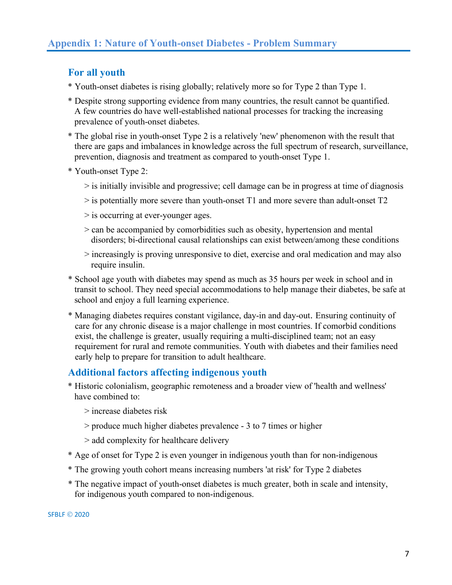# **For all youth**

- \* Youth-onset diabetes is rising globally; relatively more so for Type 2 than Type 1.
- \* Despite strong supporting evidence from many countries, the result cannot be quantified. A few countries do have well-established national processes for tracking the increasing prevalence of youth-onset diabetes.
- \* The global rise in youth-onset Type 2 is a relatively 'new' phenomenon with the result that there are gaps and imbalances in knowledge across the full spectrum of research, surveillance, prevention, diagnosis and treatment as compared to youth-onset Type 1.
- \* Youth-onset Type 2:
	- > is initially invisible and progressive; cell damage can be in progress at time of diagnosis
	- > is potentially more severe than youth-onset T1 and more severe than adult-onset T2
	- > is occurring at ever-younger ages.
	- > can be accompanied by comorbidities such as obesity, hypertension and mental disorders; bi-directional causal relationships can exist between/among these conditions
	- > increasingly is proving unresponsive to diet, exercise and oral medication and may also require insulin.
- \* School age youth with diabetes may spend as much as 35 hours per week in school and in transit to school. They need special accommodations to help manage their diabetes, be safe at school and enjoy a full learning experience.
- \* Managing diabetes requires constant vigilance, day-in and day-out. Ensuring continuity of care for any chronic disease is a major challenge in most countries. If comorbid conditions exist, the challenge is greater, usually requiring a multi-disciplined team; not an easy requirement for rural and remote communities. Youth with diabetes and their families need early help to prepare for transition to adult healthcare.

# **Additional factors affecting indigenous youth**

- \* Historic colonialism, geographic remoteness and a broader view of 'health and wellness' have combined to:
	- > increase diabetes risk
	- > produce much higher diabetes prevalence 3 to 7 times or higher
	- > add complexity for healthcare delivery
- \* Age of onset for Type 2 is even younger in indigenous youth than for non-indigenous
- \* The growing youth cohort means increasing numbers 'at risk' for Type 2 diabetes
- \* The negative impact of youth-onset diabetes is much greater, both in scale and intensity, for indigenous youth compared to non-indigenous.

**SFBLF © 2020**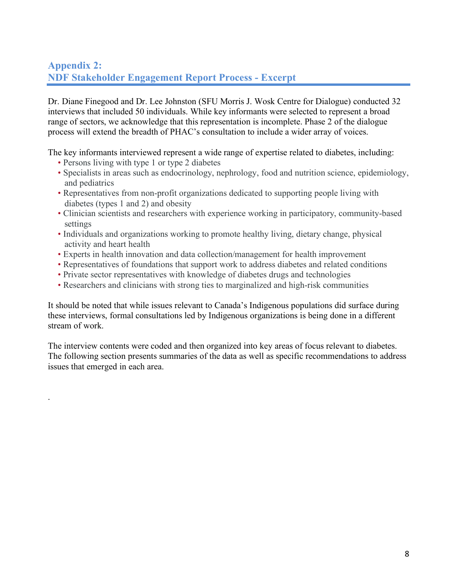# **Appendix 2: NDF Stakeholder Engagement Report Process - Excerpt**

Dr. Diane Finegood and Dr. Lee Johnston (SFU Morris J. Wosk Centre for Dialogue) conducted 32 interviews that included 50 individuals. While key informants were selected to represent a broad range of sectors, we acknowledge that this representation is incomplete. Phase 2 of the dialogue process will extend the breadth of PHAC's consultation to include a wider array of voices.

The key informants interviewed represent a wide range of expertise related to diabetes, including:

• Persons living with type 1 or type 2 diabetes

.

- Specialists in areas such as endocrinology, nephrology, food and nutrition science, epidemiology, and pediatrics
- Representatives from non-profit organizations dedicated to supporting people living with diabetes (types 1 and 2) and obesity
- Clinician scientists and researchers with experience working in participatory, community-based settings
- Individuals and organizations working to promote healthy living, dietary change, physical activity and heart health
- Experts in health innovation and data collection/management for health improvement
- Representatives of foundations that support work to address diabetes and related conditions
- Private sector representatives with knowledge of diabetes drugs and technologies
- Researchers and clinicians with strong ties to marginalized and high-risk communities

It should be noted that while issues relevant to Canada's Indigenous populations did surface during these interviews, formal consultations led by Indigenous organizations is being done in a different stream of work.

The interview contents were coded and then organized into key areas of focus relevant to diabetes. The following section presents summaries of the data as well as specific recommendations to address issues that emerged in each area.